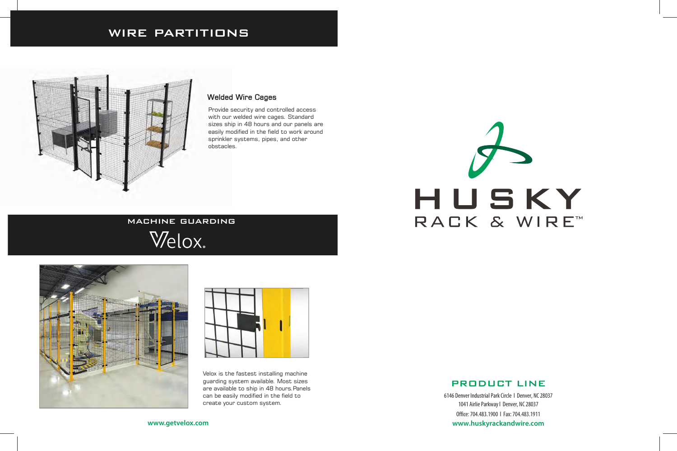## PRODUCT LINE

6146 Denver Industrial Park Circle l Denver, NC 28037 1041 Airlie Parkway l Denver, NC 28037 Office: 704.483.1900 l Fax: 704.483.1911 **www.huskyrackandwire.com**



Velox is the fastest installing machine guarding system available. Most sizes are available to ship in 48 hours.Panels can be easily modified in the field to create your custom system.

**www.getvelox.com**

# WIRE PARTITIONS



### Welded Wire Cages

Provide security and controlled access with our welded wire cages. Standard sizes ship in 48 hours and our panels are easily modified in the field to work around sprinkler systems, pipes, and other obstacles.

# MACHINE GUARDING

Welox.